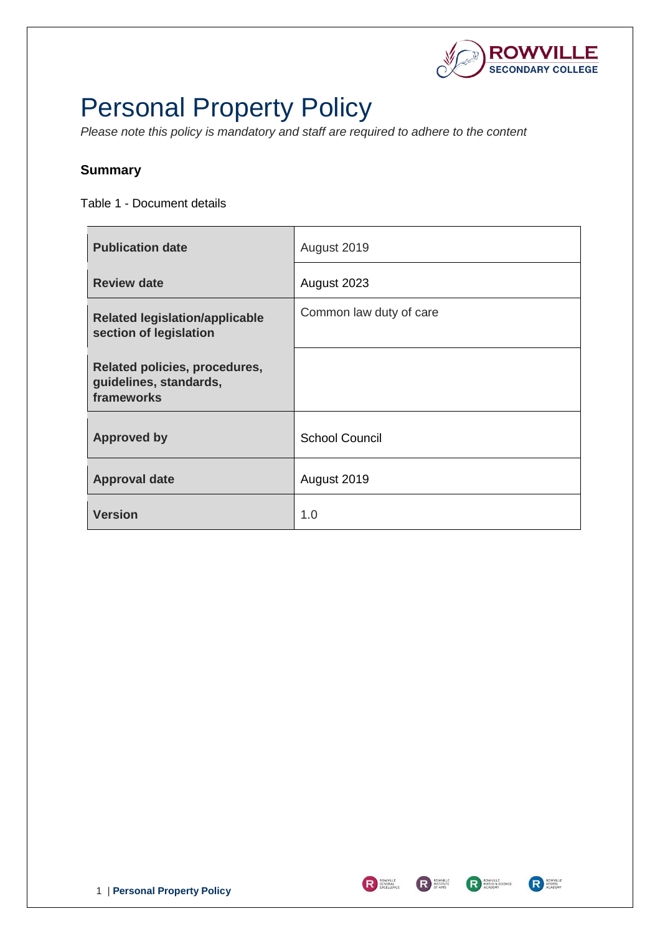

# <span id="page-0-0"></span>Personal Property Policy

*Please note this policy is mandatory and staff are required to adhere to the content* 

### <span id="page-0-1"></span>**Summary**

Table 1 - Document details

| <b>Publication date</b>                                               | August 2019             |
|-----------------------------------------------------------------------|-------------------------|
| <b>Review date</b>                                                    | August 2023             |
| <b>Related legislation/applicable</b><br>section of legislation       | Common law duty of care |
| Related policies, procedures,<br>guidelines, standards,<br>frameworks |                         |
| <b>Approved by</b>                                                    | <b>School Council</b>   |
| <b>Approval date</b>                                                  | August 2019             |
| <b>Version</b>                                                        | 1.0                     |



R SENEXAL RESIDUE



**RESPONTED**<br>SPORTS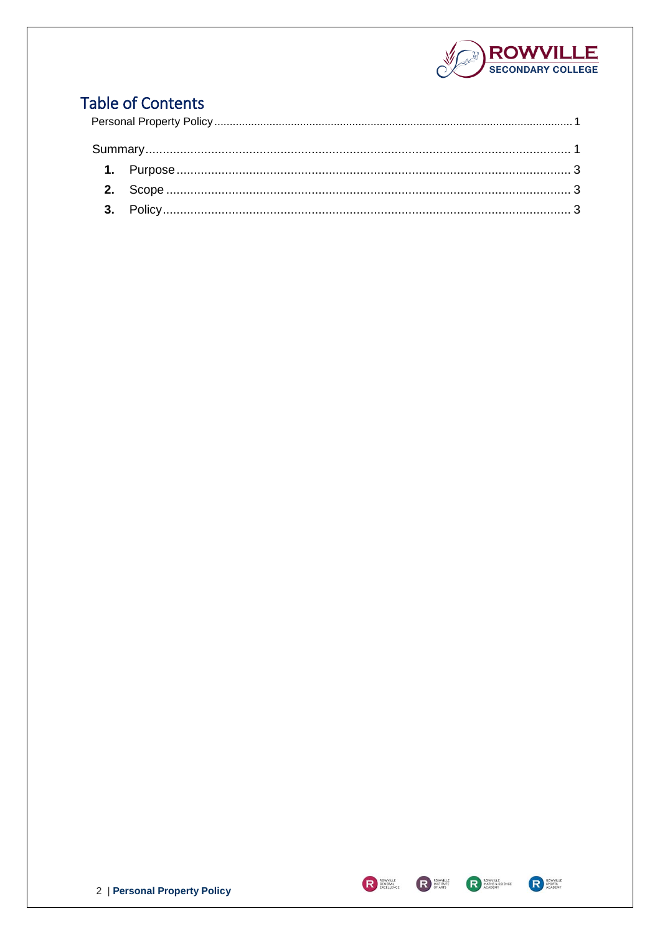

## **Table of Contents**